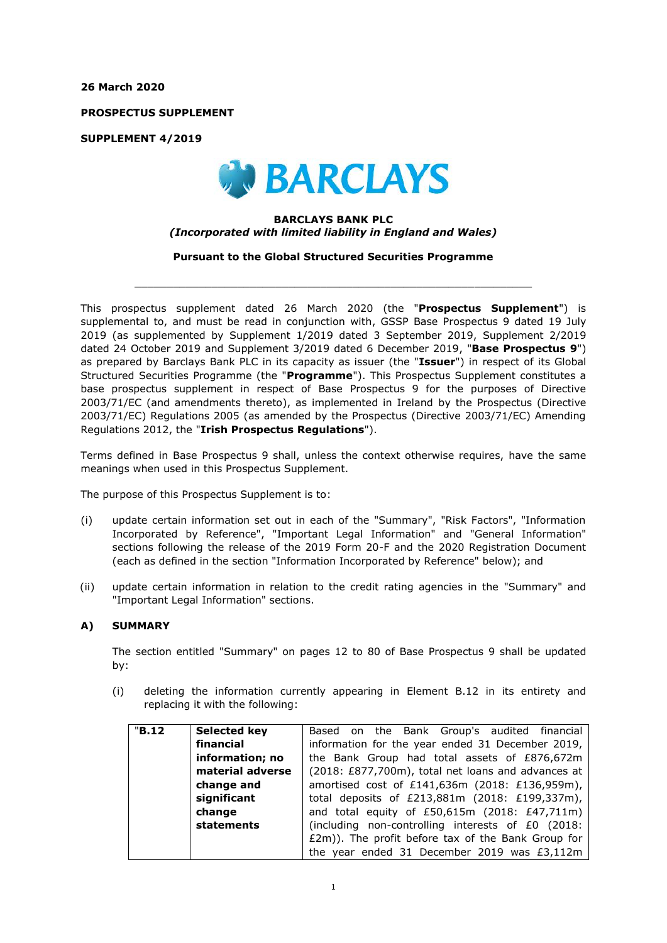**26 March 2020**

**PROSPECTUS SUPPLEMENT**

**SUPPLEMENT 4/2019**



## **BARCLAYS BANK PLC** *(Incorporated with limited liability in England and Wales)*

**Pursuant to the Global Structured Securities Programme**

 $\_$  , and the set of the set of the set of the set of the set of the set of the set of the set of the set of the set of the set of the set of the set of the set of the set of the set of the set of the set of the set of th

This prospectus supplement dated 26 March 2020 (the "**Prospectus Supplement**") is supplemental to, and must be read in conjunction with, GSSP Base Prospectus 9 dated 19 July 2019 (as supplemented by Supplement 1/2019 dated 3 September 2019, Supplement 2/2019 dated 24 October 2019 and Supplement 3/2019 dated 6 December 2019, "**Base Prospectus 9**") as prepared by Barclays Bank PLC in its capacity as issuer (the "**Issuer**") in respect of its Global Structured Securities Programme (the "**Programme**"). This Prospectus Supplement constitutes a base prospectus supplement in respect of Base Prospectus 9 for the purposes of Directive 2003/71/EC (and amendments thereto), as implemented in Ireland by the Prospectus (Directive 2003/71/EC) Regulations 2005 (as amended by the Prospectus (Directive 2003/71/EC) Amending Regulations 2012, the "**Irish Prospectus Regulations**").

Terms defined in Base Prospectus 9 shall, unless the context otherwise requires, have the same meanings when used in this Prospectus Supplement.

The purpose of this Prospectus Supplement is to:

- (i) update certain information set out in each of the "Summary", "Risk Factors", "Information Incorporated by Reference", "Important Legal Information" and "General Information" sections following the release of the 2019 Form 20-F and the 2020 Registration Document (each as defined in the section "Information Incorporated by Reference" below); and
- (ii) update certain information in relation to the credit rating agencies in the "Summary" and "Important Legal Information" sections.

## **A) SUMMARY**

The section entitled "Summary" on pages 12 to 80 of Base Prospectus 9 shall be updated by:

(i) deleting the information currently appearing in Element B.12 in its entirety and replacing it with the following:

| "B.12" | <b>Selected key</b> | Based on the Bank Group's audited financial        |  |  |  |
|--------|---------------------|----------------------------------------------------|--|--|--|
|        | financial           | information for the year ended 31 December 2019,   |  |  |  |
|        | information; no     | the Bank Group had total assets of £876,672m       |  |  |  |
|        | material adverse    | (2018: £877,700m), total net loans and advances at |  |  |  |
|        | change and          | amortised cost of £141,636m (2018: £136,959m),     |  |  |  |
|        | significant         | total deposits of £213,881m (2018: £199,337m),     |  |  |  |
|        | change              | and total equity of $£50,615m$ (2018: $£47,711m$ ) |  |  |  |
|        | statements          | (including non-controlling interests of £0 (2018:  |  |  |  |
|        |                     | £2m)). The profit before tax of the Bank Group for |  |  |  |
|        |                     | the year ended 31 December 2019 was £3,112m        |  |  |  |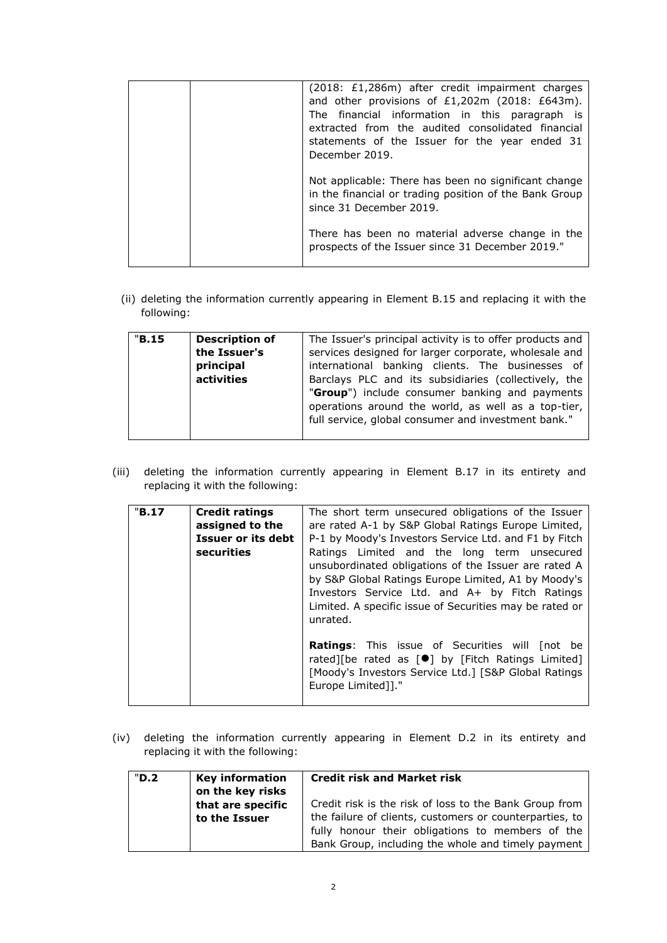|  | (2018: £1,286m) after credit impairment charges<br>and other provisions of £1,202m (2018: £643m).<br>The financial information in this paragraph is<br>extracted from the audited consolidated financial<br>statements of the Issuer for the year ended 31<br>December 2019. |
|--|------------------------------------------------------------------------------------------------------------------------------------------------------------------------------------------------------------------------------------------------------------------------------|
|  | Not applicable: There has been no significant change<br>in the financial or trading position of the Bank Group<br>since 31 December 2019.                                                                                                                                    |
|  | There has been no material adverse change in the<br>prospects of the Issuer since 31 December 2019."                                                                                                                                                                         |

(ii) deleting the information currently appearing in Element B.15 and replacing it with the following:

| "B.15" | <b>Description of</b> | The Issuer's principal activity is to offer products and |  |
|--------|-----------------------|----------------------------------------------------------|--|
|        | the Issuer's          | services designed for larger corporate, wholesale and    |  |
|        | principal             | international banking clients. The businesses of         |  |
|        | activities            | Barclays PLC and its subsidiaries (collectively, the     |  |
|        |                       | "Group") include consumer banking and payments           |  |
|        |                       | operations around the world, as well as a top-tier,      |  |
|        |                       | full service, global consumer and investment bank."      |  |
|        |                       |                                                          |  |

(iii) deleting the information currently appearing in Element B.17 in its entirety and replacing it with the following:

| "B.17 | <b>Credit ratings</b><br>assigned to the | The short term unsecured obligations of the Issuer<br>are rated A-1 by S&P Global Ratings Europe Limited,                                                                                                                                                                           |
|-------|------------------------------------------|-------------------------------------------------------------------------------------------------------------------------------------------------------------------------------------------------------------------------------------------------------------------------------------|
|       | Issuer or its debt                       | P-1 by Moody's Investors Service Ltd. and F1 by Fitch                                                                                                                                                                                                                               |
|       | securities                               | Ratings Limited and the long term unsecured<br>unsubordinated obligations of the Issuer are rated A<br>by S&P Global Ratings Europe Limited, A1 by Moody's<br>Investors Service Ltd. and A+ by Fitch Ratings<br>Limited. A specific issue of Securities may be rated or<br>unrated. |
|       |                                          | Ratings: This issue of Securities will [not be<br>rated][be rated as $[\bullet]$ by [Fitch Ratings Limited]<br>[Moody's Investors Service Ltd.] [S&P Global Ratings<br>Europe Limited]]."                                                                                           |

(iv) deleting the information currently appearing in Element D.2 in its entirety and replacing it with the following:

| "D.2" | <b>Key information</b><br>on the key risks | <b>Credit risk and Market risk</b>                                                                                                                                                                                          |
|-------|--------------------------------------------|-----------------------------------------------------------------------------------------------------------------------------------------------------------------------------------------------------------------------------|
|       | that are specific<br>to the Issuer         | Credit risk is the risk of loss to the Bank Group from<br>the failure of clients, customers or counterparties, to<br>fully honour their obligations to members of the<br>Bank Group, including the whole and timely payment |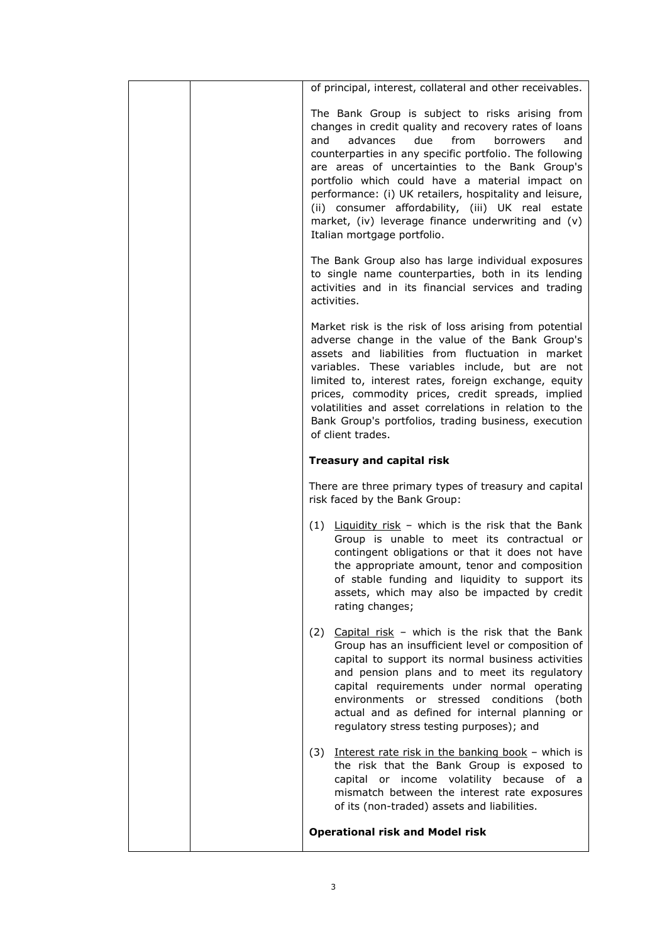| of principal, interest, collateral and other receivables.                                                                                                                                                                                                                                                                                                                                                                                                                                                                           |
|-------------------------------------------------------------------------------------------------------------------------------------------------------------------------------------------------------------------------------------------------------------------------------------------------------------------------------------------------------------------------------------------------------------------------------------------------------------------------------------------------------------------------------------|
| The Bank Group is subject to risks arising from<br>changes in credit quality and recovery rates of loans<br>from<br>advances<br>due<br>borrowers<br>and<br>and<br>counterparties in any specific portfolio. The following<br>are areas of uncertainties to the Bank Group's<br>portfolio which could have a material impact on<br>performance: (i) UK retailers, hospitality and leisure,<br>(ii) consumer affordability, (iii) UK real estate<br>market, (iv) leverage finance underwriting and (v)<br>Italian mortgage portfolio. |
| The Bank Group also has large individual exposures<br>to single name counterparties, both in its lending<br>activities and in its financial services and trading<br>activities.                                                                                                                                                                                                                                                                                                                                                     |
| Market risk is the risk of loss arising from potential<br>adverse change in the value of the Bank Group's<br>assets and liabilities from fluctuation in market<br>variables. These variables include, but are not<br>limited to, interest rates, foreign exchange, equity<br>prices, commodity prices, credit spreads, implied<br>volatilities and asset correlations in relation to the<br>Bank Group's portfolios, trading business, execution<br>of client trades.                                                               |
| <b>Treasury and capital risk</b>                                                                                                                                                                                                                                                                                                                                                                                                                                                                                                    |
| There are three primary types of treasury and capital<br>risk faced by the Bank Group:                                                                                                                                                                                                                                                                                                                                                                                                                                              |
| $(1)$ Liquidity risk - which is the risk that the Bank<br>Group is unable to meet its contractual or<br>contingent obligations or that it does not have<br>the appropriate amount, tenor and composition<br>of stable funding and liquidity to support its<br>assets, which may also be impacted by credit<br>rating changes;                                                                                                                                                                                                       |
| Capital risk - which is the risk that the Bank<br>(2)<br>Group has an insufficient level or composition of<br>capital to support its normal business activities<br>and pension plans and to meet its regulatory<br>capital requirements under normal operating<br>environments or stressed conditions<br>(both<br>actual and as defined for internal planning or<br>regulatory stress testing purposes); and                                                                                                                        |
| Interest rate risk in the banking book - which is<br>(3)<br>the risk that the Bank Group is exposed to<br>capital or income volatility because of a<br>mismatch between the interest rate exposures<br>of its (non-traded) assets and liabilities.                                                                                                                                                                                                                                                                                  |
| <b>Operational risk and Model risk</b>                                                                                                                                                                                                                                                                                                                                                                                                                                                                                              |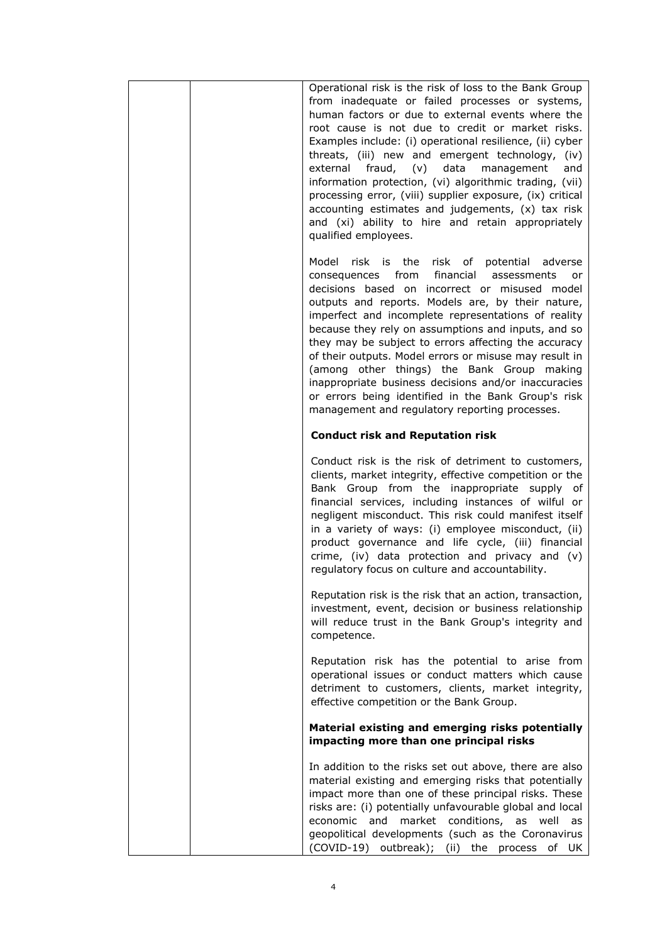| Operational risk is the risk of loss to the Bank Group<br>from inadequate or failed processes or systems,<br>human factors or due to external events where the<br>root cause is not due to credit or market risks.<br>Examples include: (i) operational resilience, (ii) cyber<br>threats, (iii) new and emergent technology, (iv)<br>$(v)$ data<br>external<br>fraud,<br>management<br>and<br>information protection, (vi) algorithmic trading, (vii)<br>processing error, (viii) supplier exposure, (ix) critical<br>accounting estimates and judgements, (x) tax risk<br>and (xi) ability to hire and retain appropriately<br>qualified employees.      |
|------------------------------------------------------------------------------------------------------------------------------------------------------------------------------------------------------------------------------------------------------------------------------------------------------------------------------------------------------------------------------------------------------------------------------------------------------------------------------------------------------------------------------------------------------------------------------------------------------------------------------------------------------------|
| Model risk is the risk of potential adverse<br>financial<br>consequences<br>from<br>assessments<br>or<br>decisions based on incorrect or misused model<br>outputs and reports. Models are, by their nature,<br>imperfect and incomplete representations of reality<br>because they rely on assumptions and inputs, and so<br>they may be subject to errors affecting the accuracy<br>of their outputs. Model errors or misuse may result in<br>(among other things) the Bank Group making<br>inappropriate business decisions and/or inaccuracies<br>or errors being identified in the Bank Group's risk<br>management and regulatory reporting processes. |
| <b>Conduct risk and Reputation risk</b>                                                                                                                                                                                                                                                                                                                                                                                                                                                                                                                                                                                                                    |
| Conduct risk is the risk of detriment to customers,<br>clients, market integrity, effective competition or the<br>Bank Group from the inappropriate supply<br>of<br>financial services, including instances of wilful or<br>negligent misconduct. This risk could manifest itself<br>in a variety of ways: (i) employee misconduct, (ii)<br>product governance and life cycle, (iii) financial<br>crime, (iv) data protection and privacy and (v)<br>regulatory focus on culture and accountability.                                                                                                                                                       |
| Reputation risk is the risk that an action, transaction,<br>investment, event, decision or business relationship<br>will reduce trust in the Bank Group's integrity and<br>competence.                                                                                                                                                                                                                                                                                                                                                                                                                                                                     |
| Reputation risk has the potential to arise from<br>operational issues or conduct matters which cause<br>detriment to customers, clients, market integrity,<br>effective competition or the Bank Group.                                                                                                                                                                                                                                                                                                                                                                                                                                                     |
| Material existing and emerging risks potentially<br>impacting more than one principal risks                                                                                                                                                                                                                                                                                                                                                                                                                                                                                                                                                                |
| In addition to the risks set out above, there are also<br>material existing and emerging risks that potentially<br>impact more than one of these principal risks. These<br>risks are: (i) potentially unfavourable global and local<br>economic and<br>market conditions, as well<br>as<br>geopolitical developments (such as the Coronavirus<br>(COVID-19) outbreak); (ii) the process<br>of UK                                                                                                                                                                                                                                                           |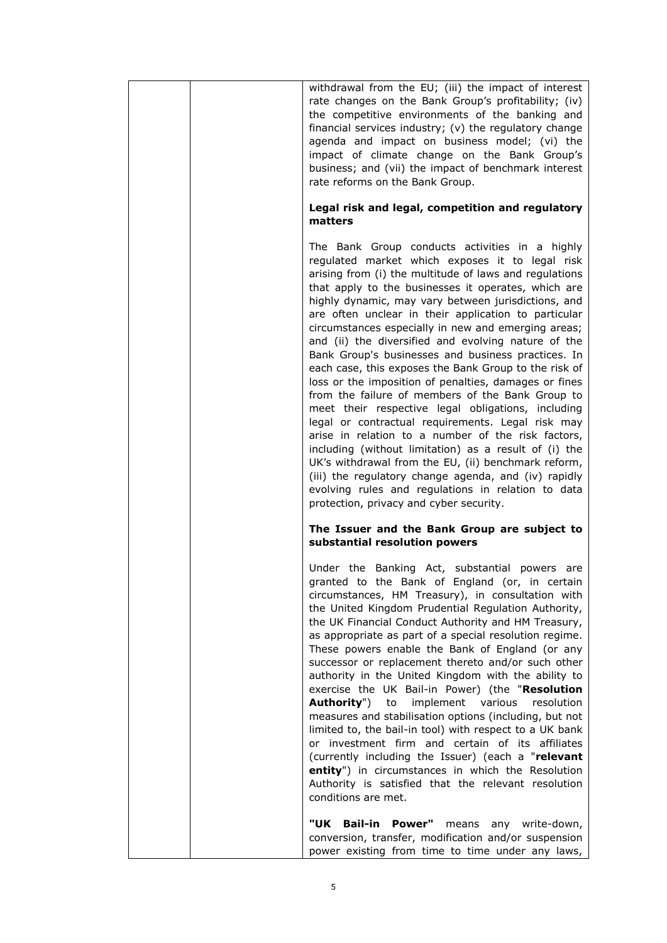| withdrawal from the EU; (iii) the impact of interest<br>rate changes on the Bank Group's profitability; (iv)<br>the competitive environments of the banking and<br>financial services industry; (v) the regulatory change<br>agenda and impact on business model; (vi) the<br>impact of climate change on the Bank Group's<br>business; and (vii) the impact of benchmark interest<br>rate reforms on the Bank Group.                                                                                                                                                                                                                                                                                                                                                                                                                                                                                                                                                                                                                                                                                                 |
|-----------------------------------------------------------------------------------------------------------------------------------------------------------------------------------------------------------------------------------------------------------------------------------------------------------------------------------------------------------------------------------------------------------------------------------------------------------------------------------------------------------------------------------------------------------------------------------------------------------------------------------------------------------------------------------------------------------------------------------------------------------------------------------------------------------------------------------------------------------------------------------------------------------------------------------------------------------------------------------------------------------------------------------------------------------------------------------------------------------------------|
| Legal risk and legal, competition and regulatory<br>matters                                                                                                                                                                                                                                                                                                                                                                                                                                                                                                                                                                                                                                                                                                                                                                                                                                                                                                                                                                                                                                                           |
| The Bank Group conducts activities in a highly<br>regulated market which exposes it to legal risk<br>arising from (i) the multitude of laws and regulations<br>that apply to the businesses it operates, which are<br>highly dynamic, may vary between jurisdictions, and<br>are often unclear in their application to particular<br>circumstances especially in new and emerging areas;<br>and (ii) the diversified and evolving nature of the<br>Bank Group's businesses and business practices. In<br>each case, this exposes the Bank Group to the risk of<br>loss or the imposition of penalties, damages or fines<br>from the failure of members of the Bank Group to<br>meet their respective legal obligations, including<br>legal or contractual requirements. Legal risk may<br>arise in relation to a number of the risk factors,<br>including (without limitation) as a result of (i) the<br>UK's withdrawal from the EU, (ii) benchmark reform,<br>(iii) the regulatory change agenda, and (iv) rapidly<br>evolving rules and regulations in relation to data<br>protection, privacy and cyber security. |
| The Issuer and the Bank Group are subject to<br>substantial resolution powers                                                                                                                                                                                                                                                                                                                                                                                                                                                                                                                                                                                                                                                                                                                                                                                                                                                                                                                                                                                                                                         |
| Under the Banking Act, substantial powers are<br>granted to the Bank of England (or, in certain<br>circumstances, HM Treasury), in consultation with<br>the United Kingdom Prudential Regulation Authority,<br>the UK Financial Conduct Authority and HM Treasury,<br>as appropriate as part of a special resolution regime.<br>These powers enable the Bank of England (or any<br>successor or replacement thereto and/or such other<br>authority in the United Kingdom with the ability to<br>exercise the UK Bail-in Power) (the "Resolution<br><b>Authority")</b><br>implement<br>various<br>to<br>resolution<br>measures and stabilisation options (including, but not<br>limited to, the bail-in tool) with respect to a UK bank<br>or investment firm and certain of its affiliates<br>(currently including the Issuer) (each a "relevant<br>entity") in circumstances in which the Resolution<br>Authority is satisfied that the relevant resolution<br>conditions are met.                                                                                                                                   |
| <b>Bail-in</b><br>Power"<br>"UK<br>means<br>any<br>write-down,<br>conversion, transfer, modification and/or suspension<br>power existing from time to time under any laws,                                                                                                                                                                                                                                                                                                                                                                                                                                                                                                                                                                                                                                                                                                                                                                                                                                                                                                                                            |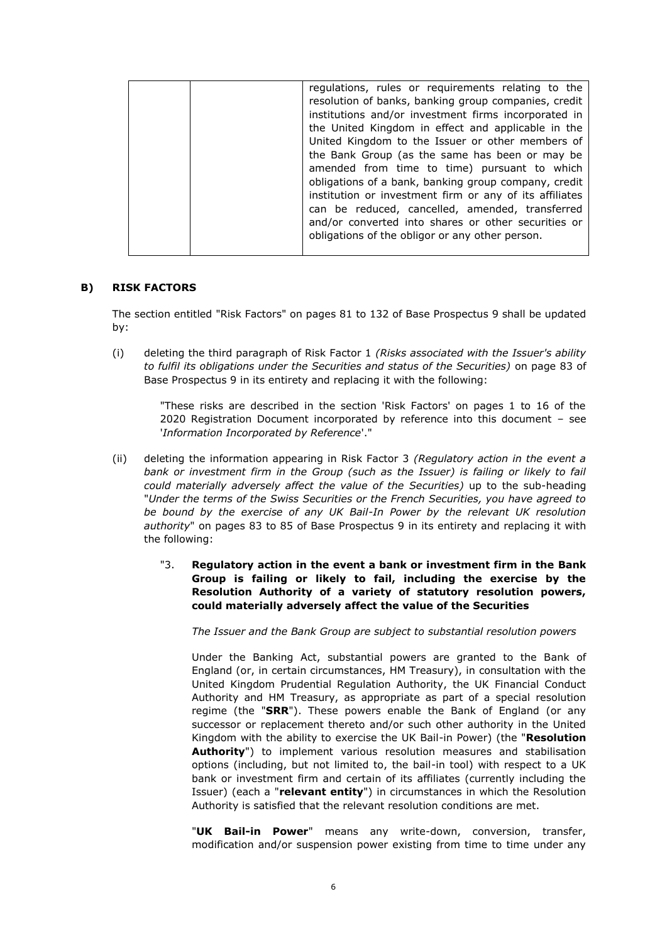|  | regulations, rules or requirements relating to the      |
|--|---------------------------------------------------------|
|  | resolution of banks, banking group companies, credit    |
|  | institutions and/or investment firms incorporated in    |
|  | the United Kingdom in effect and applicable in the      |
|  | United Kingdom to the Issuer or other members of        |
|  | the Bank Group (as the same has been or may be          |
|  | amended from time to time) pursuant to which            |
|  | obligations of a bank, banking group company, credit    |
|  | institution or investment firm or any of its affiliates |
|  | can be reduced, cancelled, amended, transferred         |
|  | and/or converted into shares or other securities or     |
|  | obligations of the obligor or any other person.         |
|  |                                                         |

## **B) RISK FACTORS**

The section entitled "Risk Factors" on pages 81 to 132 of Base Prospectus 9 shall be updated by:

(i) deleting the third paragraph of Risk Factor 1 *(Risks associated with the Issuer's ability to fulfil its obligations under the Securities and status of the Securities)* on page 83 of Base Prospectus 9 in its entirety and replacing it with the following:

"These risks are described in the section 'Risk Factors' on pages 1 to 16 of the 2020 Registration Document incorporated by reference into this document – see '*Information Incorporated by Reference*'."

- (ii) deleting the information appearing in Risk Factor 3 *(Regulatory action in the event a*  bank or investment firm in the Group (such as the Issuer) is failing or likely to fail *could materially adversely affect the value of the Securities)* up to the sub-heading "*Under the terms of the Swiss Securities or the French Securities, you have agreed to be bound by the exercise of any UK Bail-In Power by the relevant UK resolution authority*" on pages 83 to 85 of Base Prospectus 9 in its entirety and replacing it with the following:
	- "3. **Regulatory action in the event a bank or investment firm in the Bank Group is failing or likely to fail, including the exercise by the Resolution Authority of a variety of statutory resolution powers, could materially adversely affect the value of the Securities**

*The Issuer and the Bank Group are subject to substantial resolution powers*

Under the Banking Act, substantial powers are granted to the Bank of England (or, in certain circumstances, HM Treasury), in consultation with the United Kingdom Prudential Regulation Authority, the UK Financial Conduct Authority and HM Treasury, as appropriate as part of a special resolution regime (the "**SRR**"). These powers enable the Bank of England (or any successor or replacement thereto and/or such other authority in the United Kingdom with the ability to exercise the UK Bail-in Power) (the "**Resolution Authority**") to implement various resolution measures and stabilisation options (including, but not limited to, the bail-in tool) with respect to a UK bank or investment firm and certain of its affiliates (currently including the Issuer) (each a "**relevant entity**") in circumstances in which the Resolution Authority is satisfied that the relevant resolution conditions are met.

"**UK Bail-in Power**" means any write-down, conversion, transfer, modification and/or suspension power existing from time to time under any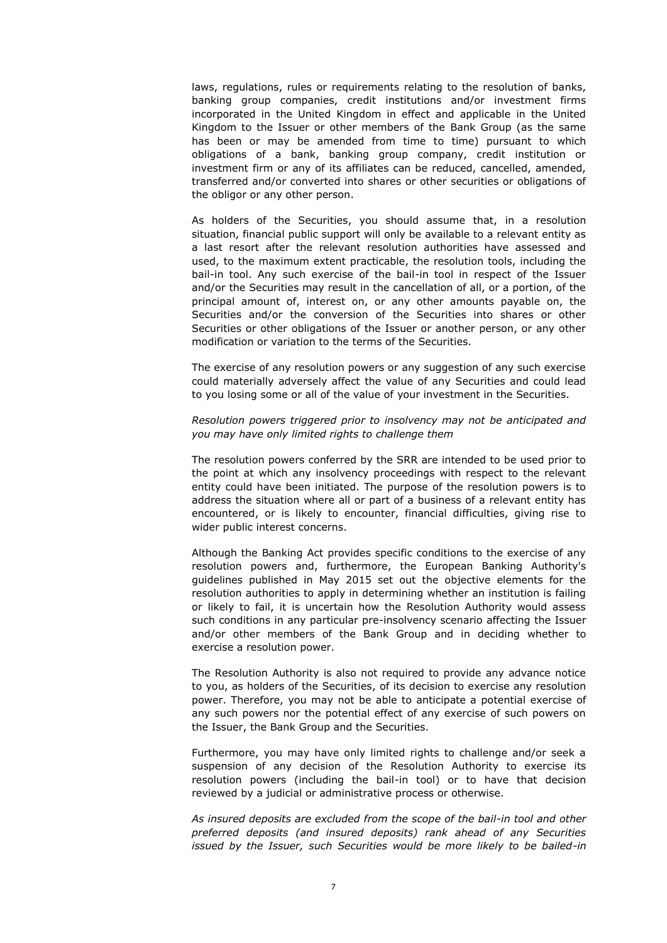laws, regulations, rules or requirements relating to the resolution of banks, banking group companies, credit institutions and/or investment firms incorporated in the United Kingdom in effect and applicable in the United Kingdom to the Issuer or other members of the Bank Group (as the same has been or may be amended from time to time) pursuant to which obligations of a bank, banking group company, credit institution or investment firm or any of its affiliates can be reduced, cancelled, amended, transferred and/or converted into shares or other securities or obligations of the obligor or any other person.

As holders of the Securities, you should assume that, in a resolution situation, financial public support will only be available to a relevant entity as a last resort after the relevant resolution authorities have assessed and used, to the maximum extent practicable, the resolution tools, including the bail-in tool. Any such exercise of the bail-in tool in respect of the Issuer and/or the Securities may result in the cancellation of all, or a portion, of the principal amount of, interest on, or any other amounts payable on, the Securities and/or the conversion of the Securities into shares or other Securities or other obligations of the Issuer or another person, or any other modification or variation to the terms of the Securities.

The exercise of any resolution powers or any suggestion of any such exercise could materially adversely affect the value of any Securities and could lead to you losing some or all of the value of your investment in the Securities.

### *Resolution powers triggered prior to insolvency may not be anticipated and you may have only limited rights to challenge them*

The resolution powers conferred by the SRR are intended to be used prior to the point at which any insolvency proceedings with respect to the relevant entity could have been initiated. The purpose of the resolution powers is to address the situation where all or part of a business of a relevant entity has encountered, or is likely to encounter, financial difficulties, giving rise to wider public interest concerns.

Although the Banking Act provides specific conditions to the exercise of any resolution powers and, furthermore, the European Banking Authority's guidelines published in May 2015 set out the objective elements for the resolution authorities to apply in determining whether an institution is failing or likely to fail, it is uncertain how the Resolution Authority would assess such conditions in any particular pre-insolvency scenario affecting the Issuer and/or other members of the Bank Group and in deciding whether to exercise a resolution power.

The Resolution Authority is also not required to provide any advance notice to you, as holders of the Securities, of its decision to exercise any resolution power. Therefore, you may not be able to anticipate a potential exercise of any such powers nor the potential effect of any exercise of such powers on the Issuer, the Bank Group and the Securities.

Furthermore, you may have only limited rights to challenge and/or seek a suspension of any decision of the Resolution Authority to exercise its resolution powers (including the bail-in tool) or to have that decision reviewed by a judicial or administrative process or otherwise.

*As insured deposits are excluded from the scope of the bail-in tool and other preferred deposits (and insured deposits) rank ahead of any Securities issued by the Issuer, such Securities would be more likely to be bailed-in*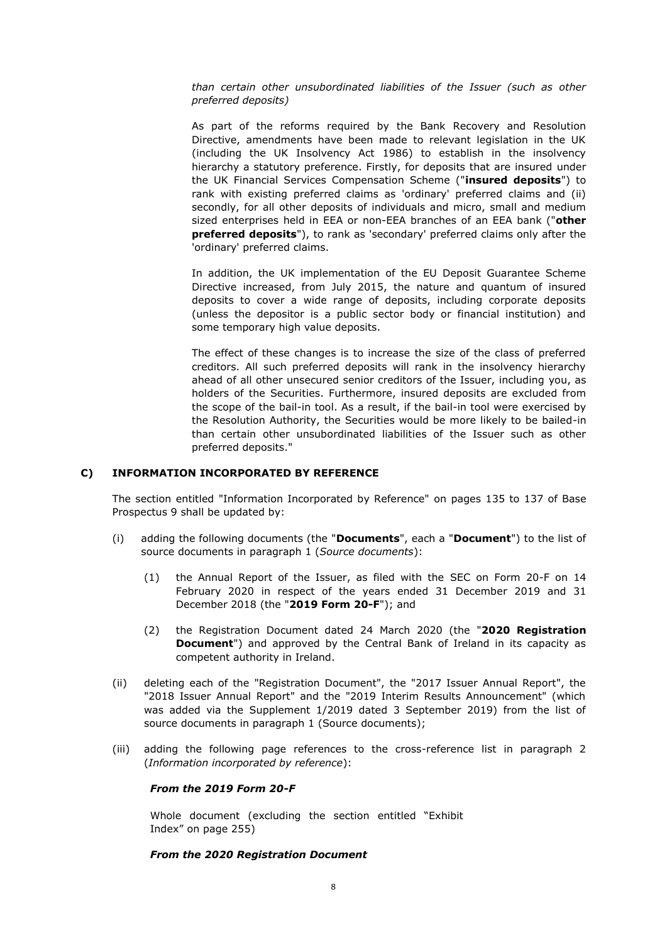*than certain other unsubordinated liabilities of the Issuer (such as other preferred deposits)*

As part of the reforms required by the Bank Recovery and Resolution Directive, amendments have been made to relevant legislation in the UK (including the UK Insolvency Act 1986) to establish in the insolvency hierarchy a statutory preference. Firstly, for deposits that are insured under the UK Financial Services Compensation Scheme ("**insured deposits**") to rank with existing preferred claims as 'ordinary' preferred claims and (ii) secondly, for all other deposits of individuals and micro, small and medium sized enterprises held in EEA or non-EEA branches of an EEA bank ("**other preferred deposits**"), to rank as 'secondary' preferred claims only after the 'ordinary' preferred claims.

In addition, the UK implementation of the EU Deposit Guarantee Scheme Directive increased, from July 2015, the nature and quantum of insured deposits to cover a wide range of deposits, including corporate deposits (unless the depositor is a public sector body or financial institution) and some temporary high value deposits.

The effect of these changes is to increase the size of the class of preferred creditors. All such preferred deposits will rank in the insolvency hierarchy ahead of all other unsecured senior creditors of the Issuer, including you, as holders of the Securities. Furthermore, insured deposits are excluded from the scope of the bail-in tool. As a result, if the bail-in tool were exercised by the Resolution Authority, the Securities would be more likely to be bailed-in than certain other unsubordinated liabilities of the Issuer such as other preferred deposits."

## **C) INFORMATION INCORPORATED BY REFERENCE**

The section entitled "Information Incorporated by Reference" on pages 135 to 137 of Base Prospectus 9 shall be updated by:

- (i) adding the following documents (the "**Documents**", each a "**Document**") to the list of source documents in paragraph 1 (*Source documents*):
	- (1) the Annual Report of the Issuer, as filed with the SEC on Form 20-F on 14 February 2020 in respect of the years ended 31 December 2019 and 31 December 2018 (the "**2019 Form 20-F**"); and
	- (2) the Registration Document dated 24 March 2020 (the "**2020 Registration Document**") and approved by the Central Bank of Ireland in its capacity as competent authority in Ireland.
- (ii) deleting each of the "Registration Document", the "2017 Issuer Annual Report", the "2018 Issuer Annual Report" and the "2019 Interim Results Announcement" (which was added via the Supplement 1/2019 dated 3 September 2019) from the list of source documents in paragraph 1 (Source documents);
- (iii) adding the following page references to the cross-reference list in paragraph 2 (*Information incorporated by reference*):

#### *From the 2019 Form 20-F*

Whole document (excluding the section entitled "Exhibit Index" on page 255)

#### *From the 2020 Registration Document*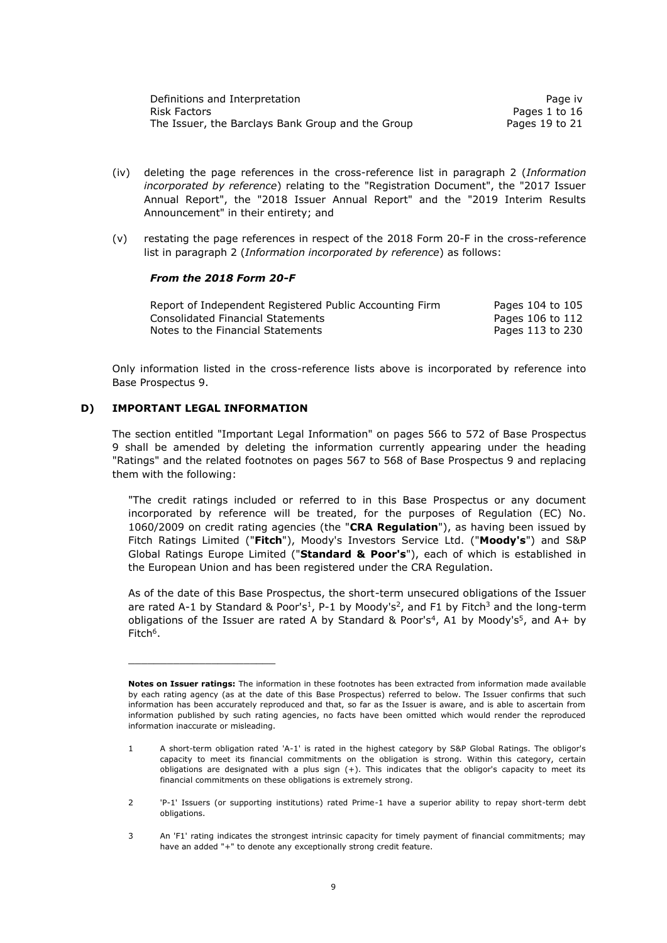| Definitions and Interpretation                    | Page iv        |
|---------------------------------------------------|----------------|
| Risk Factors                                      | Pages 1 to 16  |
| The Issuer, the Barclays Bank Group and the Group | Pages 19 to 21 |

- (iv) deleting the page references in the cross-reference list in paragraph 2 (*Information incorporated by reference*) relating to the "Registration Document", the "2017 Issuer Annual Report", the "2018 Issuer Annual Report" and the "2019 Interim Results Announcement" in their entirety; and
- (v) restating the page references in respect of the 2018 Form 20-F in the cross-reference list in paragraph 2 (*Information incorporated by reference*) as follows:

### *From the 2018 Form 20-F*

| Report of Independent Registered Public Accounting Firm | Pages 104 to 105 |
|---------------------------------------------------------|------------------|
| Consolidated Financial Statements                       | Pages 106 to 112 |
| Notes to the Financial Statements                       | Pages 113 to 230 |

Only information listed in the cross-reference lists above is incorporated by reference into Base Prospectus 9.

### **D) IMPORTANT LEGAL INFORMATION**

\_\_\_\_\_\_\_\_\_\_\_\_\_\_\_\_\_\_\_\_\_\_\_

The section entitled "Important Legal Information" on pages 566 to 572 of Base Prospectus 9 shall be amended by deleting the information currently appearing under the heading "Ratings" and the related footnotes on pages 567 to 568 of Base Prospectus 9 and replacing them with the following:

"The credit ratings included or referred to in this Base Prospectus or any document incorporated by reference will be treated, for the purposes of Regulation (EC) No. 1060/2009 on credit rating agencies (the "**CRA Regulation**"), as having been issued by Fitch Ratings Limited ("**Fitch**"), Moody's Investors Service Ltd. ("**Moody's**") and S&P Global Ratings Europe Limited ("**Standard & Poor's**"), each of which is established in the European Union and has been registered under the CRA Regulation.

As of the date of this Base Prospectus, the short-term unsecured obligations of the Issuer are rated A-1 by Standard & Poor's<sup>1</sup>, P-1 by Moody's<sup>2</sup>, and F1 by Fitch<sup>3</sup> and the long-term obligations of the Issuer are rated A by Standard & Poor's<sup>4</sup>, A1 by Moody's<sup>5</sup>, and A+ by Fitch<sup>6</sup>.

**Notes on Issuer ratings:** The information in these footnotes has been extracted from information made available by each rating agency (as at the date of this Base Prospectus) referred to below. The Issuer confirms that such information has been accurately reproduced and that, so far as the Issuer is aware, and is able to ascertain from information published by such rating agencies, no facts have been omitted which would render the reproduced information inaccurate or misleading.

<sup>1</sup> A short-term obligation rated 'A-1' is rated in the highest category by S&P Global Ratings. The obligor's capacity to meet its financial commitments on the obligation is strong. Within this category, certain obligations are designated with a plus sign (+). This indicates that the obligor's capacity to meet its financial commitments on these obligations is extremely strong.

<sup>2</sup> 'P-1' Issuers (or supporting institutions) rated Prime-1 have a superior ability to repay short-term debt obligations.

<sup>3</sup> An 'F1' rating indicates the strongest intrinsic capacity for timely payment of financial commitments; may have an added "+" to denote any exceptionally strong credit feature.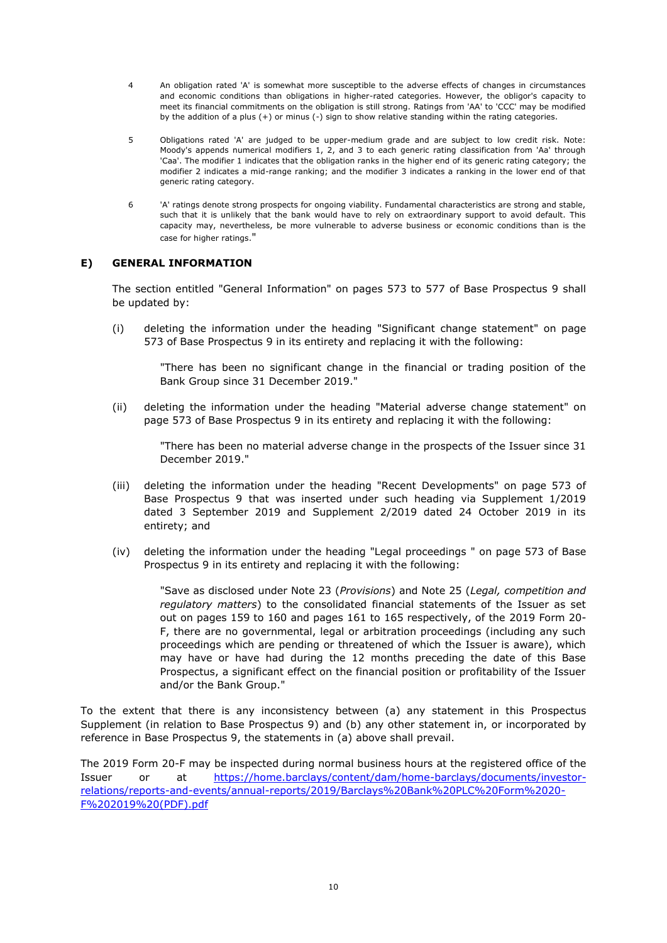- 4 An obligation rated 'A' is somewhat more susceptible to the adverse effects of changes in circumstances and economic conditions than obligations in higher-rated categories. However, the obligor's capacity to meet its financial commitments on the obligation is still strong. Ratings from 'AA' to 'CCC' may be modified by the addition of a plus (+) or minus (-) sign to show relative standing within the rating categories.
- 5 Obligations rated 'A' are judged to be upper-medium grade and are subject to low credit risk. Note: Moody's appends numerical modifiers 1, 2, and 3 to each generic rating classification from 'Aa' through 'Caa'. The modifier 1 indicates that the obligation ranks in the higher end of its generic rating category; the modifier 2 indicates a mid-range ranking; and the modifier 3 indicates a ranking in the lower end of that generic rating category.
- 6 'A' ratings denote strong prospects for ongoing viability. Fundamental characteristics are strong and stable, such that it is unlikely that the bank would have to rely on extraordinary support to avoid default. This capacity may, nevertheless, be more vulnerable to adverse business or economic conditions than is the case for higher ratings."

# **E) GENERAL INFORMATION**

The section entitled "General Information" on pages 573 to 577 of Base Prospectus 9 shall be updated by:

(i) deleting the information under the heading "Significant change statement" on page 573 of Base Prospectus 9 in its entirety and replacing it with the following:

"There has been no significant change in the financial or trading position of the Bank Group since 31 December 2019."

(ii) deleting the information under the heading "Material adverse change statement" on page 573 of Base Prospectus 9 in its entirety and replacing it with the following:

> "There has been no material adverse change in the prospects of the Issuer since 31 December 2019."

- (iii) deleting the information under the heading "Recent Developments" on page 573 of Base Prospectus 9 that was inserted under such heading via Supplement 1/2019 dated 3 September 2019 and Supplement 2/2019 dated 24 October 2019 in its entirety; and
- (iv) deleting the information under the heading "Legal proceedings " on page 573 of Base Prospectus 9 in its entirety and replacing it with the following:

"Save as disclosed under Note 23 (*Provisions*) and Note 25 (*Legal, competition and regulatory matters*) to the consolidated financial statements of the Issuer as set out on pages 159 to 160 and pages 161 to 165 respectively, of the 2019 Form 20- F, there are no governmental, legal or arbitration proceedings (including any such proceedings which are pending or threatened of which the Issuer is aware), which may have or have had during the 12 months preceding the date of this Base Prospectus, a significant effect on the financial position or profitability of the Issuer and/or the Bank Group."

To the extent that there is any inconsistency between (a) any statement in this Prospectus Supplement (in relation to Base Prospectus 9) and (b) any other statement in, or incorporated by reference in Base Prospectus 9, the statements in (a) above shall prevail.

The 2019 Form 20-F may be inspected during normal business hours at the registered office of the Issuer or at [https://home.barclays/content/dam/home-barclays/documents/investor](https://home.barclays/content/dam/home-barclays/documents/investor-relations/reports-and-events/annual-reports/2019/Barclays%20Bank%20PLC%20Form%2020-F%202019%20(PDF).pdf)[relations/reports-and-events/annual-reports/2019/Barclays%20Bank%20PLC%20Form%2020-](https://home.barclays/content/dam/home-barclays/documents/investor-relations/reports-and-events/annual-reports/2019/Barclays%20Bank%20PLC%20Form%2020-F%202019%20(PDF).pdf) [F%202019%20\(PDF\).pdf](https://home.barclays/content/dam/home-barclays/documents/investor-relations/reports-and-events/annual-reports/2019/Barclays%20Bank%20PLC%20Form%2020-F%202019%20(PDF).pdf)